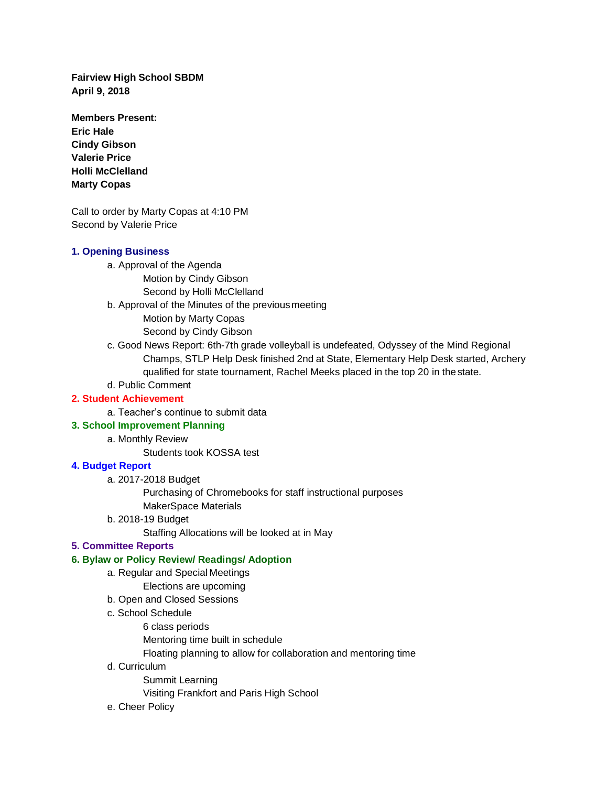**Fairview High School SBDM April 9, 2018**

**Members Present: Eric Hale Cindy Gibson Valerie Price Holli McClelland Marty Copas**

Call to order by Marty Copas at 4:10 PM Second by Valerie Price

## **1. Opening Business**

- a. Approval of the Agenda
	- Motion by Cindy Gibson
		- Second by Holli McClelland
- b. Approval of the Minutes of the previousmeeting
	- Motion by Marty Copas
	- Second by Cindy Gibson
- c. Good News Report: 6th-7th grade volleyball is undefeated, Odyssey of the Mind Regional Champs, STLP Help Desk finished 2nd at State, Elementary Help Desk started, Archery qualified for state tournament, Rachel Meeks placed in the top 20 in thestate.
- d. Public Comment

## **2. Student Achievement**

a. Teacher's continue to submit data

# **3. School Improvement Planning**

a. Monthly Review

Students took KOSSA test

## **4. Budget Report**

a. 2017-2018 Budget

Purchasing of Chromebooks for staff instructional purposes

- MakerSpace Materials
- b. 2018-19 Budget

Staffing Allocations will be looked at in May

## **5. Committee Reports**

## **6. Bylaw or Policy Review/ Readings/ Adoption**

- a. Regular and Special Meetings
- Elections are upcoming
- b. Open and Closed Sessions
- c. School Schedule
	- 6 class periods
	- Mentoring time built in schedule
	- Floating planning to allow for collaboration and mentoring time
- d. Curriculum

Summit Learning

Visiting Frankfort and Paris High School

e. Cheer Policy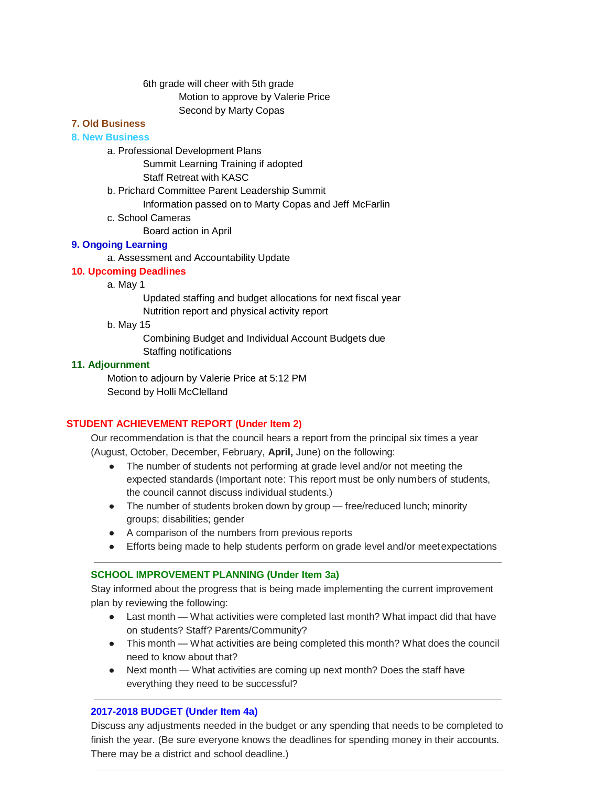## 6th grade will cheer with 5th grade Motion to approve by Valerie Price Second by Marty Copas

### **7. Old Business**

## **8. New Business**

- a. Professional Development Plans
	- Summit Learning Training if adopted

Staff Retreat with KASC

- b. Prichard Committee Parent Leadership Summit
	- Information passed on to Marty Copas and Jeff McFarlin
- c. School Cameras

Board action in April

## **9. Ongoing Learning**

a. Assessment and Accountability Update

## **10. Upcoming Deadlines**

a. May 1

Updated staffing and budget allocations for next fiscal year Nutrition report and physical activity report

b. May 15

Combining Budget and Individual Account Budgets due Staffing notifications

### **11. Adjournment**

Motion to adjourn by Valerie Price at 5:12 PM Second by Holli McClelland

## **STUDENT ACHIEVEMENT REPORT (Under Item 2)**

Our recommendation is that the council hears a report from the principal six times a year (August, October, December, February, **April,** June) on the following:

- The number of students not performing at grade level and/or not meeting the expected standards (Important note: This report must be only numbers of students, the council cannot discuss individual students.)
- The number of students broken down by group free/reduced lunch; minority groups; disabilities; gender
- A comparison of the numbers from previous reports
- Efforts being made to help students perform on grade level and/or meetexpectations

## **SCHOOL IMPROVEMENT PLANNING (Under Item 3a)**

Stay informed about the progress that is being made implementing the current improvement plan by reviewing the following:

- Last month What activities were completed last month? What impact did that have on students? Staff? Parents/Community?
- This month What activities are being completed this month? What does the council need to know about that?
- Next month What activities are coming up next month? Does the staff have everything they need to be successful?

## **2017-2018 BUDGET (Under Item 4a)**

Discuss any adjustments needed in the budget or any spending that needs to be completed to finish the year. (Be sure everyone knows the deadlines for spending money in their accounts. There may be a district and school deadline.)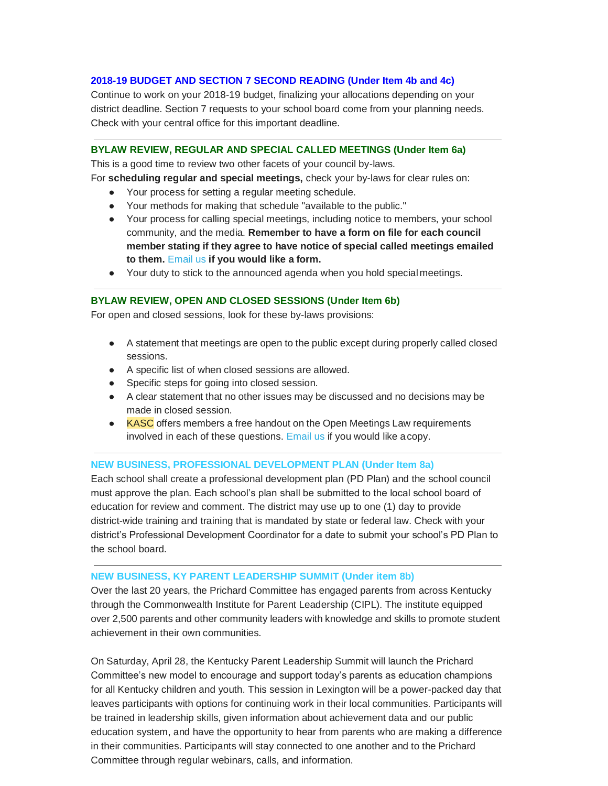### **2018-19 BUDGET AND SECTION 7 SECOND READING (Under Item 4b and 4c)**

Continue to work on your 2018-19 budget, finalizing your allocations depending on your district deadline. Section 7 requests to your school board come from your planning needs. Check with your central office for this important deadline.

### **BYLAW REVIEW, REGULAR AND SPECIAL CALLED MEETINGS (Under Item 6a)**

This is a good time to review two other facets of your council by-laws.

- For **scheduling regular and special meetings,** check your by-laws for clear rules on:
	- Your process for setting a regular meeting schedule.
	- Your methods for making that schedule "available to the public."
	- Your process for calling special meetings, including notice to members, your school community, and the media. **Remember to have a form on file for each council member stating if they agree to have notice of special called meetings emailed to them.** Email us **if you would like a form.**
	- Your duty to stick to the announced agenda when you hold specialmeetings.

### **BYLAW REVIEW, OPEN AND CLOSED SESSIONS (Under Item 6b)**

For open and closed sessions, look for these by-laws provisions:

- A statement that meetings are open to the public except during properly called closed sessions.
- A specific list of when closed sessions are allowed.
- Specific steps for going into closed session.
- A clear statement that no other issues may be discussed and no decisions may be made in closed session.
- KASC offers members a free handout on the Open Meetings Law requirements involved in each of these questions. Email us if you would like a copy.

### **NEW BUSINESS, PROFESSIONAL DEVELOPMENT PLAN (Under Item 8a)**

Each school shall create a professional development plan (PD Plan) and the school council must approve the plan. Each school's plan shall be submitted to the local school board of education for review and comment. The district may use up to one (1) day to provide district-wide training and training that is mandated by state or federal law. Check with your district's Professional Development Coordinator for a date to submit your school's PD Plan to the school board.

### **NEW BUSINESS, KY PARENT LEADERSHIP SUMMIT (Under item 8b)**

Over the last 20 years, the Prichard Committee has engaged parents from across Kentucky through the Commonwealth Institute for Parent Leadership (CIPL). The institute equipped over 2,500 parents and other community leaders with knowledge and skills to promote student achievement in their own communities.

On Saturday, April 28, the Kentucky Parent Leadership Summit will launch the Prichard Committee's new model to encourage and support today's parents as education champions for all Kentucky children and youth. This session in Lexington will be a power-packed day that leaves participants with options for continuing work in their local communities. Participants will be trained in leadership skills, given information about achievement data and our public education system, and have the opportunity to hear from parents who are making a difference in their communities. Participants will stay connected to one another and to the Prichard Committee through regular webinars, calls, and information.